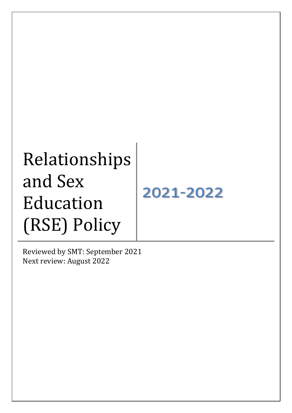# Relationships and Sex 2021-2022 Education (RSE) Policy

Reviewed by SMT: September 2021 Next review: August 2022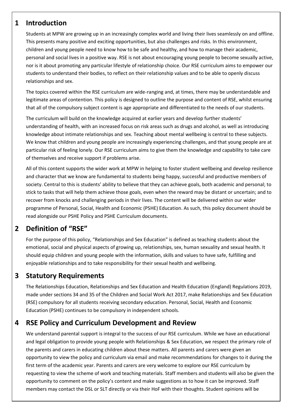### **1 Introduction**

Students at MPW are growing up in an increasingly complex world and living their lives seamlessly on and offline. This presents many positive and exciting opportunities, but also challenges and risks. In this environment, children and young people need to know how to be safe and healthy, and how to manage their academic, personal and social lives in a positive way. RSE is not about encouraging young people to become sexually active, nor is it about promoting any particular lifestyle of relationship choice. Our RSE curriculum aims to empower our students to understand their bodies, to reflect on their relationship values and to be able to openly discuss relationships and sex.

The topics covered within the RSE curriculum are wide-ranging and, at times, there may be understandable and legitimate areas of contention. This policy is designed to outline the purpose and content of RSE, whilst ensuring that all of the compulsory subject content is age appropriate and differentiated to the needs of our students.

The curriculum will build on the knowledge acquired at earlier years and develop further students' understanding of health, with an increased focus on risk areas such as drugs and alcohol, as well as introducing knowledge about intimate relationships and sex. Teaching about mental wellbeing is central to these subjects. We know that children and young people are increasingly experiencing challenges, and that young people are at particular risk of feeling lonely. Our RSE curriculum aims to give them the knowledge and capability to take care of themselves and receive support if problems arise.

All of this content supports the wider work at MPW in helping to foster student wellbeing and develop resilience and character that we know are fundamental to students being happy, successful and productive members of society. Central to this is students' ability to believe that they can achieve goals, both academic and personal; to stick to tasks that will help them achieve those goals, even when the reward may be distant or uncertain; and to recover from knocks and challenging periods in their lives. The content will be delivered within our wider programme of Personal, Social, Health and Economic (PSHE) Education. As such, this policy document should be read alongside our PSHE Policy and PSHE Curriculum documents.

## **2 Definition of "RSE"**

For the purpose of this policy, "Relationships and Sex Education" is defined as teaching students about the emotional, social and physical aspects of growing up, relationships, sex, human sexuality and sexual health. It should equip children and young people with the information, skills and values to have safe, fulfilling and enjoyable relationships and to take responsibility for their sexual health and wellbeing.

## **3 Statutory Requirements**

The Relationships Education, Relationships and Sex Education and Health Education (England) Regulations 2019, made under sections 34 and 35 of the Children and Social Work Act 2017, make Relationships and Sex Education (RSE) compulsory for all students receiving secondary education. Personal, Social, Health and Economic Education (PSHE) continues to be compulsory in independent schools.

### **4 RSE Policy and Curriculum Development and Review**

We understand parental support is integral to the success of our RSE curriculum. While we have an educational and legal obligation to provide young people with Relationships & Sex Education, we respect the primary role of the parents and carers in educating children about these matters. All parents and carers were given an opportunity to view the policy and curriculum via email and make recommendations for changes to it during the first term of the academic year. Parents and carers are very welcome to explore our RSE curriculum by requesting to view the scheme of work and teaching materials. Staff members and students will also be given the opportunity to comment on the policy's content and make suggestions as to how it can be improved. Staff members may contact the DSL or SLT directly or via their HoF with their thoughts. Student opinions will be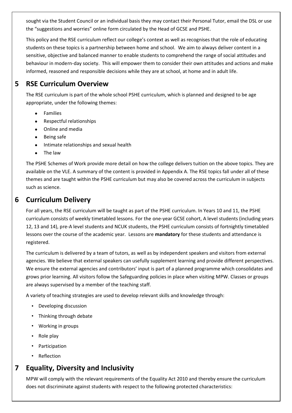sought via the Student Council or an individual basis they may contact their Personal Tutor, email the DSL or use the "suggestions and worries" online form circulated by the Head of GCSE and PSHE.

This policy and the RSE curriculum reflect our college's context as well as recognises that the role of educating students on these topics is a partnership between home and school. We aim to always deliver content in a sensitive, objective and balanced manner to enable students to comprehend the range of social attitudes and behaviour in modern-day society. This will empower them to consider their own attitudes and actions and make informed, reasoned and responsible decisions while they are at school, at home and in adult life.

# **5 RSE Curriculum Overview**

The RSE curriculum is part of the whole school PSHE curriculum, which is planned and designed to be age appropriate, under the following themes:

- Families
- Respectful relationships
- Online and media
- Being safe
- Intimate relationships and sexual health
- The law

The PSHE Schemes of Work provide more detail on how the college delivers tuition on the above topics. They are available on the VLE. A summary of the content is provided in Appendix A. The RSE topics fall under all of these themes and are taught within the PSHE curriculum but may also be covered across the curriculum in subjects such as science.

## **6 Curriculum Delivery**

For all years, the RSE curriculum will be taught as part of the PSHE curriculum. In Years 10 and 11, the PSHE curriculum consists of weekly timetabled lessons. For the one-year GCSE cohort, A level students (including years 12, 13 and 14), pre-A level students and NCUK students, the PSHE curriculum consists of fortnightly timetabled lessons over the course of the academic year. Lessons are **mandatory** for these students and attendance is registered.

The curriculum is delivered by a team of tutors, as well as by independent speakers and visitors from external agencies. We believe that external speakers can usefully supplement learning and provide different perspectives. We ensure the external agencies and contributors' input is part of a planned programme which consolidates and grows prior learning. All visitors follow the Safeguarding policies in place when visiting MPW. Classes or groups are always supervised by a member of the teaching staff.

A variety of teaching strategies are used to develop relevant skills and knowledge through:

- Developing discussion
- Thinking through debate
- Working in groups
- Role play
- **Participation**
- **Reflection**

## **7 Equality, Diversity and Inclusivity**

MPW will comply with the relevant requirements of the Equality Act 2010 and thereby ensure the curriculum does not discriminate against students with respect to the following protected characteristics: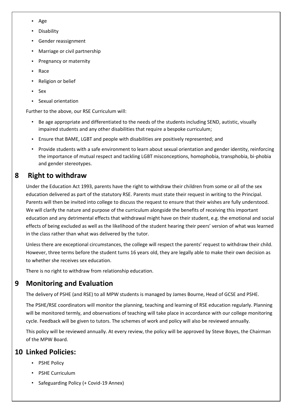- Age
- Disability
- Gender reassignment
- Marriage or civil partnership
- Pregnancy or maternity
- Race
- Religion or belief
- Sex
- Sexual orientation

Further to the above, our RSE Curriculum will:

- Be age appropriate and differentiated to the needs of the students including SEND, autistic, visually impaired students and any other disabilities that require a bespoke curriculum;
- Ensure that BAME, LGBT and people with disabilities are positively represented; and
- Provide students with a safe environment to learn about sexual orientation and gender identity, reinforcing the importance of mutual respect and tackling LGBT misconceptions, homophobia, transphobia, bi-phobia and gender stereotypes.

## **8 Right to withdraw**

Under the Education Act 1993, parents have the right to withdraw their children from some or all of the sex education delivered as part of the statutory RSE. Parents must state their request in writing to the Principal. Parents will then be invited into college to discuss the request to ensure that their wishes are fully understood. We will clarify the nature and purpose of the curriculum alongside the benefits of receiving this important education and any detrimental effects that withdrawal might have on their student, e.g. the emotional and social effects of being excluded as well as the likelihood of the student hearing their peers' version of what was learned in the class rather than what was delivered by the tutor.

Unless there are exceptional circumstances, the college will respect the parents' request to withdraw their child. However, three terms before the student turns 16 years old, they are legally able to make their own decision as to whether she receives sex education.

There is no right to withdraw from relationship education.

## **9 Monitoring and Evaluation**

The delivery of PSHE (and RSE) to all MPW students is managed by James Bourne, Head of GCSE and PSHE.

The PSHE/RSE coordinators will monitor the planning, teaching and learning of RSE education regularly. Planning will be monitored termly, and observations of teaching will take place in accordance with our college monitoring cycle. Feedback will be given to tutors. The schemes of work and policy will also be reviewed annually.

This policy will be reviewed annually. At every review, the policy will be approved by Steve Boyes, the Chairman of the MPW Board.

## **10 Linked Policies:**

- PSHE Policy
- PSHE Curriculum
- Safeguarding Policy (+ Covid-19 Annex)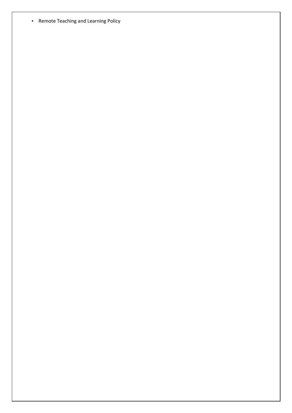• Remote Teaching and Learning Policy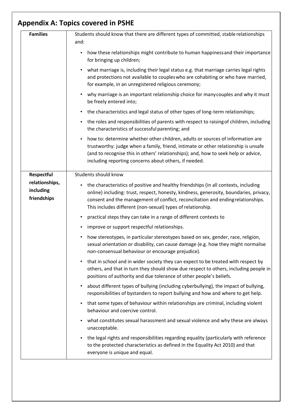| <b>Families</b>                                                                                                                                                                                                       | Students should know that there are different types of committed, stable relationships<br>and:<br>how these relationships might contribute to human happiness and their importance<br>$\bullet$<br>for bringing up children;<br>what marriage is, including their legal status e.g. that marriage carries legal rights<br>and protections not available to couples who are cohabiting or who have married,<br>for example, in an unregistered religious ceremony;<br>why marriage is an important relationship choice for many couples and why it must<br>$\bullet$<br>be freely entered into;<br>the characteristics and legal status of other types of long-term relationships;<br>$\bullet$<br>the roles and responsibilities of parents with respect to raising of children, including<br>$\bullet$<br>the characteristics of successful parenting; and<br>how to: determine whether other children, adults or sources of information are<br>$\bullet$<br>trustworthy: judge when a family, friend, intimate or other relationship is unsafe<br>(and to recognise this in others' relationships); and, how to seek help or advice,<br>including reporting concerns about others, if needed. |                                            |                                                                                                                                                                                                                                                                                                                                               |
|-----------------------------------------------------------------------------------------------------------------------------------------------------------------------------------------------------------------------|-------------------------------------------------------------------------------------------------------------------------------------------------------------------------------------------------------------------------------------------------------------------------------------------------------------------------------------------------------------------------------------------------------------------------------------------------------------------------------------------------------------------------------------------------------------------------------------------------------------------------------------------------------------------------------------------------------------------------------------------------------------------------------------------------------------------------------------------------------------------------------------------------------------------------------------------------------------------------------------------------------------------------------------------------------------------------------------------------------------------------------------------------------------------------------------------------|--------------------------------------------|-----------------------------------------------------------------------------------------------------------------------------------------------------------------------------------------------------------------------------------------------------------------------------------------------------------------------------------------------|
|                                                                                                                                                                                                                       |                                                                                                                                                                                                                                                                                                                                                                                                                                                                                                                                                                                                                                                                                                                                                                                                                                                                                                                                                                                                                                                                                                                                                                                                 | Respectful                                 | Students should know                                                                                                                                                                                                                                                                                                                          |
|                                                                                                                                                                                                                       |                                                                                                                                                                                                                                                                                                                                                                                                                                                                                                                                                                                                                                                                                                                                                                                                                                                                                                                                                                                                                                                                                                                                                                                                 | relationships,<br>including<br>friendships | the characteristics of positive and healthy friendships (in all contexts, including<br>$\bullet$<br>online) including: trust, respect, honesty, kindness, generosity, boundaries, privacy,<br>consent and the management of conflict, reconciliation and ending relationships.<br>This includes different (non-sexual) types of relationship. |
|                                                                                                                                                                                                                       |                                                                                                                                                                                                                                                                                                                                                                                                                                                                                                                                                                                                                                                                                                                                                                                                                                                                                                                                                                                                                                                                                                                                                                                                 |                                            | practical steps they can take in a range of different contexts to<br>$\bullet$                                                                                                                                                                                                                                                                |
|                                                                                                                                                                                                                       |                                                                                                                                                                                                                                                                                                                                                                                                                                                                                                                                                                                                                                                                                                                                                                                                                                                                                                                                                                                                                                                                                                                                                                                                 |                                            | improve or support respectful relationships.<br>$\bullet$                                                                                                                                                                                                                                                                                     |
|                                                                                                                                                                                                                       |                                                                                                                                                                                                                                                                                                                                                                                                                                                                                                                                                                                                                                                                                                                                                                                                                                                                                                                                                                                                                                                                                                                                                                                                 |                                            | how stereotypes, in particular stereotypes based on sex, gender, race, religion,<br>sexual orientation or disability, can cause damage (e.g. how they might normalise<br>non-consensual behaviour or encourage prejudice).                                                                                                                    |
|                                                                                                                                                                                                                       |                                                                                                                                                                                                                                                                                                                                                                                                                                                                                                                                                                                                                                                                                                                                                                                                                                                                                                                                                                                                                                                                                                                                                                                                 |                                            | that in school and in wider society they can expect to be treated with respect by<br>$\bullet$<br>others, and that in turn they should show due respect to others, including people in<br>positions of authority and due tolerance of other people's beliefs.                                                                                 |
| about different types of bullying (including cyberbullying), the impact of bullying,<br>$\bullet$<br>responsibilities of bystanders to report bullying and how and where to get help.                                 |                                                                                                                                                                                                                                                                                                                                                                                                                                                                                                                                                                                                                                                                                                                                                                                                                                                                                                                                                                                                                                                                                                                                                                                                 |                                            |                                                                                                                                                                                                                                                                                                                                               |
| that some types of behaviour within relationships are criminal, including violent<br>$\bullet$<br>behaviour and coercive control.                                                                                     |                                                                                                                                                                                                                                                                                                                                                                                                                                                                                                                                                                                                                                                                                                                                                                                                                                                                                                                                                                                                                                                                                                                                                                                                 |                                            |                                                                                                                                                                                                                                                                                                                                               |
| what constitutes sexual harassment and sexual violence and why these are always<br>unacceptable.                                                                                                                      |                                                                                                                                                                                                                                                                                                                                                                                                                                                                                                                                                                                                                                                                                                                                                                                                                                                                                                                                                                                                                                                                                                                                                                                                 |                                            |                                                                                                                                                                                                                                                                                                                                               |
| the legal rights and responsibilities regarding equality (particularly with reference<br>$\bullet$<br>to the protected characteristics as defined in the Equality Act 2010) and that<br>everyone is unique and equal. |                                                                                                                                                                                                                                                                                                                                                                                                                                                                                                                                                                                                                                                                                                                                                                                                                                                                                                                                                                                                                                                                                                                                                                                                 |                                            |                                                                                                                                                                                                                                                                                                                                               |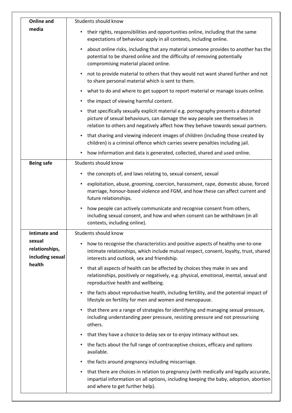| <b>Online and</b>                            | Students should know                                                                                                                                                                                                                                              |
|----------------------------------------------|-------------------------------------------------------------------------------------------------------------------------------------------------------------------------------------------------------------------------------------------------------------------|
| media                                        | their rights, responsibilities and opportunities online, including that the same<br>$\bullet$<br>expectations of behaviour apply in all contexts, including online.                                                                                               |
|                                              | about online risks, including that any material someone provides to another has the<br>$\bullet$<br>potential to be shared online and the difficulty of removing potentially<br>compromising material placed online.                                              |
|                                              | not to provide material to others that they would not want shared further and not<br>$\bullet$<br>to share personal material which is sent to them.                                                                                                               |
|                                              | what to do and where to get support to report material or manage issues online.<br>$\bullet$                                                                                                                                                                      |
|                                              | the impact of viewing harmful content.<br>$\bullet$                                                                                                                                                                                                               |
|                                              | that specifically sexually explicit material e.g. pornography presents a distorted<br>$\bullet$<br>picture of sexual behaviours, can damage the way people see themselves in<br>relation to others and negatively affect how they behave towards sexual partners. |
|                                              | that sharing and viewing indecent images of children (including those created by<br>$\bullet$<br>children) is a criminal offence which carries severe penalties including jail.                                                                                   |
|                                              | how information and data is generated, collected, shared and used online.<br>$\bullet$                                                                                                                                                                            |
| <b>Being safe</b>                            | Students should know                                                                                                                                                                                                                                              |
|                                              | the concepts of, and laws relating to, sexual consent, sexual<br>$\bullet$                                                                                                                                                                                        |
|                                              | exploitation, abuse, grooming, coercion, harassment, rape, domestic abuse, forced<br>$\bullet$<br>marriage, honour-based violence and FGM, and how these can affect current and<br>future relationships.                                                          |
|                                              | how people can actively communicate and recognise consent from others,<br>$\bullet$<br>including sexual consent, and how and when consent can be withdrawn (in all<br>contexts, including online).                                                                |
| <b>Intimate and</b>                          | Students should know                                                                                                                                                                                                                                              |
| sexual<br>relationships,<br>including sexual | how to recognise the characteristics and positive aspects of healthy one-to-one<br>intimate relationships, which include mutual respect, consent, loyalty, trust, shared<br>interests and outlook, sex and friendship.                                            |
| health                                       | that all aspects of health can be affected by choices they make in sex and<br>$\bullet$<br>relationships, positively or negatively, e.g. physical, emotional, mental, sexual and<br>reproductive health and wellbeing.                                            |
|                                              | the facts about reproductive health, including fertility, and the potential impact of<br>$\bullet$<br>lifestyle on fertility for men and women and menopause.                                                                                                     |
|                                              | that there are a range of strategies for identifying and managing sexual pressure,<br>$\bullet$<br>including understanding peer pressure, resisting pressure and not pressurising<br>others.                                                                      |
|                                              | that they have a choice to delay sex or to enjoy intimacy without sex.<br>$\bullet$                                                                                                                                                                               |
|                                              | the facts about the full range of contraceptive choices, efficacy and options<br>available.                                                                                                                                                                       |
|                                              | the facts around pregnancy including miscarriage.<br>$\bullet$                                                                                                                                                                                                    |
|                                              | that there are choices in relation to pregnancy (with medically and legally accurate,<br>impartial information on all options, including keeping the baby, adoption, abortion<br>and where to get further help).                                                  |